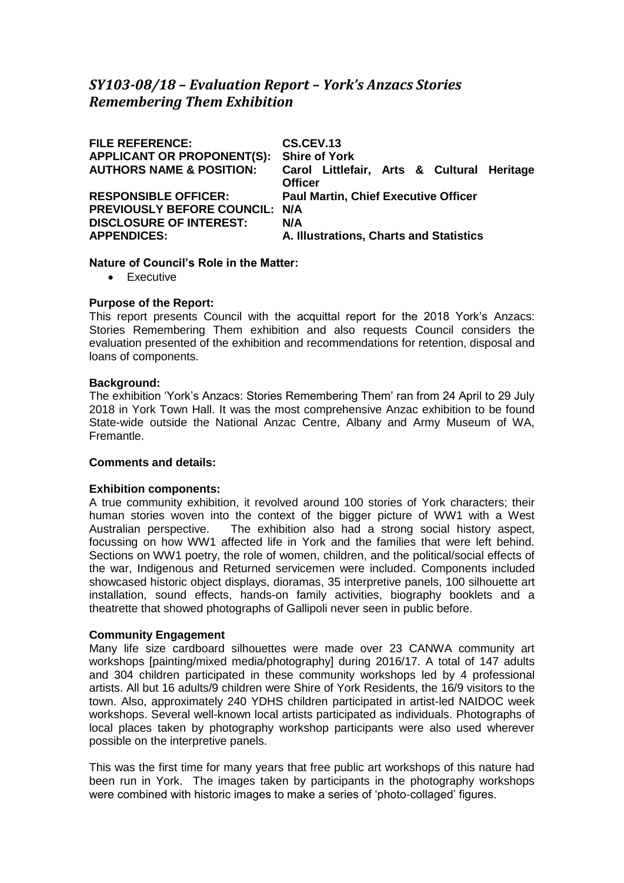## *SY103-08/18* **–** *Evaluation Report – York's Anzacs Stories Remembering Them Exhibition*

| <b>FILE REFERENCE:</b><br><b>APPLICANT OR PROPONENT(S):</b><br><b>AUTHORS NAME &amp; POSITION:</b>                    | CS.CEV.13<br><b>Shire of York</b><br>Carol Littlefair, Arts & Cultural Heritage<br><b>Officer</b> |
|-----------------------------------------------------------------------------------------------------------------------|---------------------------------------------------------------------------------------------------|
| <b>RESPONSIBLE OFFICER:</b><br>PREVIOUSLY BEFORE COUNCIL: N/A<br><b>DISCLOSURE OF INTEREST:</b><br><b>APPENDICES:</b> | <b>Paul Martin, Chief Executive Officer</b><br>N/A<br>A. Illustrations, Charts and Statistics     |

## **Nature of Council's Role in the Matter:**

• Executive

## **Purpose of the Report:**

This report presents Council with the acquittal report for the 2018 York's Anzacs: Stories Remembering Them exhibition and also requests Council considers the evaluation presented of the exhibition and recommendations for retention, disposal and loans of components.

## **Background:**

The exhibition 'York's Anzacs: Stories Remembering Them' ran from 24 April to 29 July 2018 in York Town Hall. It was the most comprehensive Anzac exhibition to be found State-wide outside the National Anzac Centre, Albany and Army Museum of WA, Fremantle.

## **Comments and details:**

#### **Exhibition components:**

A true community exhibition, it revolved around 100 stories of York characters; their human stories woven into the context of the bigger picture of WW1 with a West Australian perspective. The exhibition also had a strong social history aspect, focussing on how WW1 affected life in York and the families that were left behind. Sections on WW1 poetry, the role of women, children, and the political/social effects of the war, Indigenous and Returned servicemen were included. Components included showcased historic object displays, dioramas, 35 interpretive panels, 100 silhouette art installation, sound effects, hands-on family activities, biography booklets and a theatrette that showed photographs of Gallipoli never seen in public before.

## **Community Engagement**

Many life size cardboard silhouettes were made over 23 CANWA community art workshops [painting/mixed media/photography] during 2016/17. A total of 147 adults and 304 children participated in these community workshops led by 4 professional artists. All but 16 adults/9 children were Shire of York Residents, the 16/9 visitors to the town. Also, approximately 240 YDHS children participated in artist-led NAIDOC week workshops. Several well-known local artists participated as individuals. Photographs of local places taken by photography workshop participants were also used wherever possible on the interpretive panels.

This was the first time for many years that free public art workshops of this nature had been run in York. The images taken by participants in the photography workshops were combined with historic images to make a series of 'photo-collaged' figures.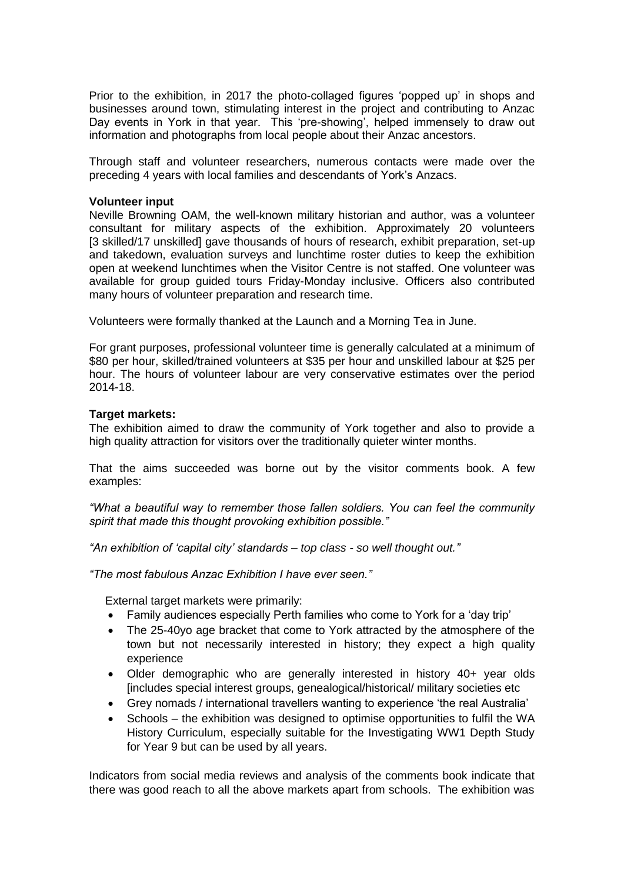Prior to the exhibition, in 2017 the photo-collaged figures 'popped up' in shops and businesses around town, stimulating interest in the project and contributing to Anzac Day events in York in that year. This 'pre-showing', helped immensely to draw out information and photographs from local people about their Anzac ancestors.

Through staff and volunteer researchers, numerous contacts were made over the preceding 4 years with local families and descendants of York's Anzacs.

#### **Volunteer input**

Neville Browning OAM, the well-known military historian and author, was a volunteer consultant for military aspects of the exhibition. Approximately 20 volunteers [3 skilled/17 unskilled] gave thousands of hours of research, exhibit preparation, set-up and takedown, evaluation surveys and lunchtime roster duties to keep the exhibition open at weekend lunchtimes when the Visitor Centre is not staffed. One volunteer was available for group guided tours Friday-Monday inclusive. Officers also contributed many hours of volunteer preparation and research time.

Volunteers were formally thanked at the Launch and a Morning Tea in June.

For grant purposes, professional volunteer time is generally calculated at a minimum of \$80 per hour, skilled/trained volunteers at \$35 per hour and unskilled labour at \$25 per hour. The hours of volunteer labour are very conservative estimates over the period 2014-18.

## **Target markets:**

The exhibition aimed to draw the community of York together and also to provide a high quality attraction for visitors over the traditionally quieter winter months.

That the aims succeeded was borne out by the visitor comments book. A few examples:

*"What a beautiful way to remember those fallen soldiers. You can feel the community spirit that made this thought provoking exhibition possible."*

*"An exhibition of 'capital city' standards – top class - so well thought out."*

*"The most fabulous Anzac Exhibition I have ever seen."*

External target markets were primarily:

- Family audiences especially Perth families who come to York for a 'day trip'
- The 25-40yo age bracket that come to York attracted by the atmosphere of the town but not necessarily interested in history; they expect a high quality experience
- Older demographic who are generally interested in history 40+ year olds [includes special interest groups, genealogical/historical/ military societies etc
- Grey nomads / international travellers wanting to experience 'the real Australia'
- Schools the exhibition was designed to optimise opportunities to fulfil the WA History Curriculum, especially suitable for the Investigating WW1 Depth Study for Year 9 but can be used by all years.

Indicators from social media reviews and analysis of the comments book indicate that there was good reach to all the above markets apart from schools. The exhibition was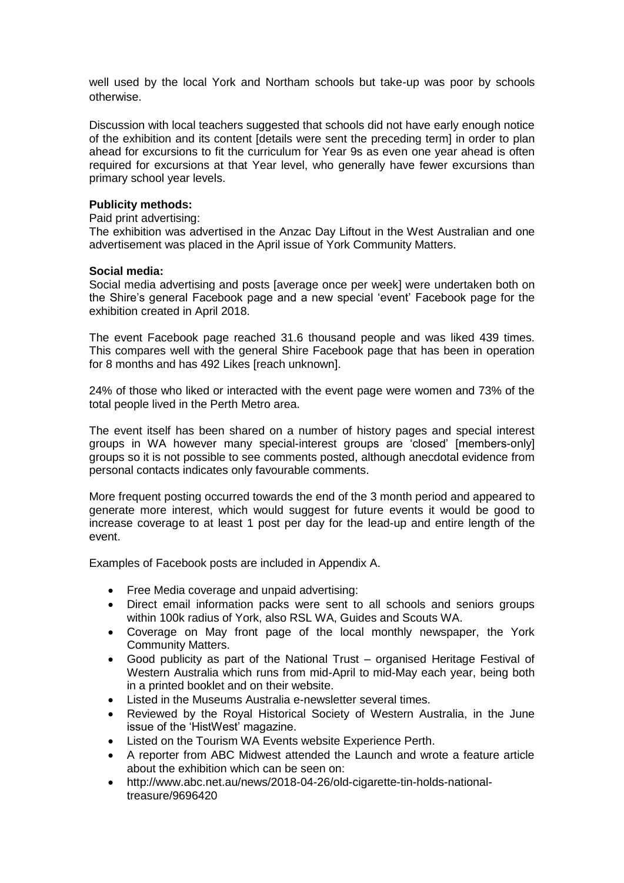well used by the local York and Northam schools but take-up was poor by schools otherwise.

Discussion with local teachers suggested that schools did not have early enough notice of the exhibition and its content [details were sent the preceding term] in order to plan ahead for excursions to fit the curriculum for Year 9s as even one year ahead is often required for excursions at that Year level, who generally have fewer excursions than primary school year levels.

## **Publicity methods:**

Paid print advertising:

The exhibition was advertised in the Anzac Day Liftout in the West Australian and one advertisement was placed in the April issue of York Community Matters.

#### **Social media:**

Social media advertising and posts [average once per week] were undertaken both on the Shire's general Facebook page and a new special 'event' Facebook page for the exhibition created in April 2018.

The event Facebook page reached 31.6 thousand people and was liked 439 times. This compares well with the general Shire Facebook page that has been in operation for 8 months and has 492 Likes [reach unknown].

24% of those who liked or interacted with the event page were women and 73% of the total people lived in the Perth Metro area.

The event itself has been shared on a number of history pages and special interest groups in WA however many special-interest groups are 'closed' [members-only] groups so it is not possible to see comments posted, although anecdotal evidence from personal contacts indicates only favourable comments.

More frequent posting occurred towards the end of the 3 month period and appeared to generate more interest, which would suggest for future events it would be good to increase coverage to at least 1 post per day for the lead-up and entire length of the event.

Examples of Facebook posts are included in Appendix A.

- Free Media coverage and unpaid advertising:
- Direct email information packs were sent to all schools and seniors groups within 100k radius of York, also RSL WA, Guides and Scouts WA.
- Coverage on May front page of the local monthly newspaper, the York Community Matters.
- Good publicity as part of the National Trust organised Heritage Festival of Western Australia which runs from mid-April to mid-May each year, being both in a printed booklet and on their website.
- Listed in the Museums Australia e-newsletter several times.
- Reviewed by the Royal Historical Society of Western Australia, in the June issue of the 'HistWest' magazine.
- Listed on the Tourism WA Events website Experience Perth.
- A reporter from ABC Midwest attended the Launch and wrote a feature article about the exhibition which can be seen on:
- [http://www.abc.net.au/news/2018-04-26/old-cigarette-tin-holds-national](http://www.abc.net.au/news/2018-04-26/old-cigarette-tin-holds-national-treasure/9696420)[treasure/9696420](http://www.abc.net.au/news/2018-04-26/old-cigarette-tin-holds-national-treasure/9696420)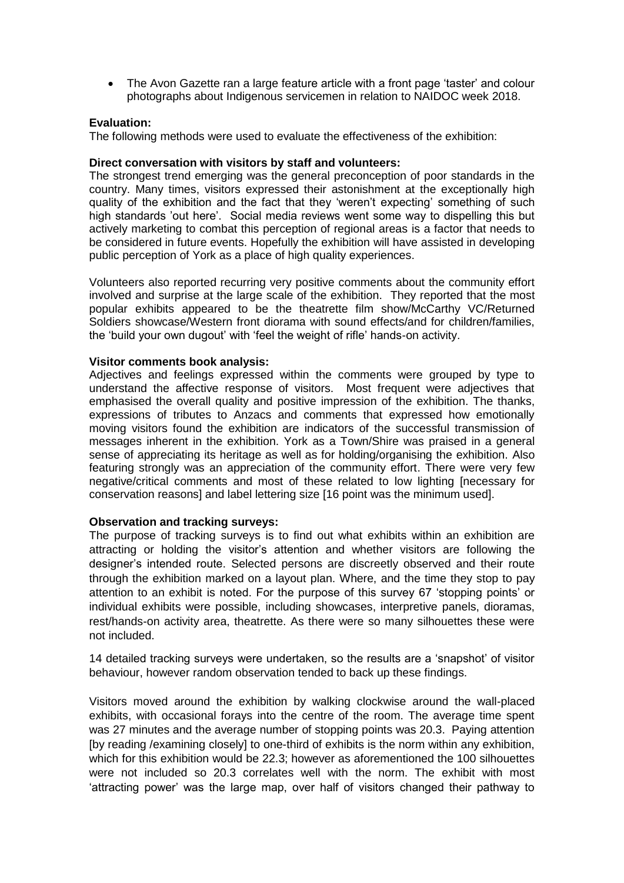• The Avon Gazette ran a large feature article with a front page 'taster' and colour photographs about Indigenous servicemen in relation to NAIDOC week 2018.

## **Evaluation:**

The following methods were used to evaluate the effectiveness of the exhibition:

### **Direct conversation with visitors by staff and volunteers:**

The strongest trend emerging was the general preconception of poor standards in the country. Many times, visitors expressed their astonishment at the exceptionally high quality of the exhibition and the fact that they 'weren't expecting' something of such high standards 'out here'. Social media reviews went some way to dispelling this but actively marketing to combat this perception of regional areas is a factor that needs to be considered in future events. Hopefully the exhibition will have assisted in developing public perception of York as a place of high quality experiences.

Volunteers also reported recurring very positive comments about the community effort involved and surprise at the large scale of the exhibition. They reported that the most popular exhibits appeared to be the theatrette film show/McCarthy VC/Returned Soldiers showcase/Western front diorama with sound effects/and for children/families, the 'build your own dugout' with 'feel the weight of rifle' hands-on activity.

## **Visitor comments book analysis:**

Adjectives and feelings expressed within the comments were grouped by type to understand the affective response of visitors. Most frequent were adjectives that emphasised the overall quality and positive impression of the exhibition. The thanks, expressions of tributes to Anzacs and comments that expressed how emotionally moving visitors found the exhibition are indicators of the successful transmission of messages inherent in the exhibition. York as a Town/Shire was praised in a general sense of appreciating its heritage as well as for holding/organising the exhibition. Also featuring strongly was an appreciation of the community effort. There were very few negative/critical comments and most of these related to low lighting [necessary for conservation reasons] and label lettering size [16 point was the minimum used].

## **Observation and tracking surveys:**

The purpose of tracking surveys is to find out what exhibits within an exhibition are attracting or holding the visitor's attention and whether visitors are following the designer's intended route. Selected persons are discreetly observed and their route through the exhibition marked on a layout plan. Where, and the time they stop to pay attention to an exhibit is noted. For the purpose of this survey 67 'stopping points' or individual exhibits were possible, including showcases, interpretive panels, dioramas, rest/hands-on activity area, theatrette. As there were so many silhouettes these were not included.

14 detailed tracking surveys were undertaken, so the results are a 'snapshot' of visitor behaviour, however random observation tended to back up these findings.

Visitors moved around the exhibition by walking clockwise around the wall-placed exhibits, with occasional forays into the centre of the room. The average time spent was 27 minutes and the average number of stopping points was 20.3. Paying attention [by reading /examining closely] to one-third of exhibits is the norm within any exhibition, which for this exhibition would be 22.3; however as aforementioned the 100 silhouettes were not included so 20.3 correlates well with the norm. The exhibit with most 'attracting power' was the large map, over half of visitors changed their pathway to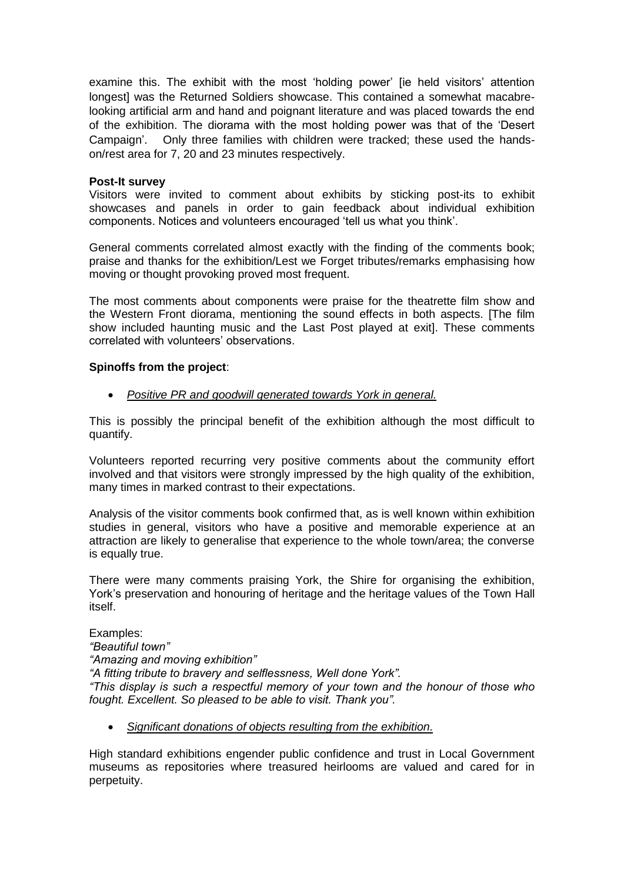examine this. The exhibit with the most 'holding power' [ie held visitors' attention longest] was the Returned Soldiers showcase. This contained a somewhat macabrelooking artificial arm and hand and poignant literature and was placed towards the end of the exhibition. The diorama with the most holding power was that of the 'Desert Campaign'. Only three families with children were tracked; these used the handson/rest area for 7, 20 and 23 minutes respectively.

## **Post-It survey**

Visitors were invited to comment about exhibits by sticking post-its to exhibit showcases and panels in order to gain feedback about individual exhibition components. Notices and volunteers encouraged 'tell us what you think'.

General comments correlated almost exactly with the finding of the comments book; praise and thanks for the exhibition/Lest we Forget tributes/remarks emphasising how moving or thought provoking proved most frequent.

The most comments about components were praise for the theatrette film show and the Western Front diorama, mentioning the sound effects in both aspects. [The film show included haunting music and the Last Post played at exit]. These comments correlated with volunteers' observations.

## **Spinoffs from the project**:

• *Positive PR and goodwill generated towards York in general.*

This is possibly the principal benefit of the exhibition although the most difficult to quantify.

Volunteers reported recurring very positive comments about the community effort involved and that visitors were strongly impressed by the high quality of the exhibition, many times in marked contrast to their expectations.

Analysis of the visitor comments book confirmed that, as is well known within exhibition studies in general, visitors who have a positive and memorable experience at an attraction are likely to generalise that experience to the whole town/area; the converse is equally true.

There were many comments praising York, the Shire for organising the exhibition, York's preservation and honouring of heritage and the heritage values of the Town Hall itself.

#### Examples:

*"Beautiful town"*

*"Amazing and moving exhibition"*

*"A fitting tribute to bravery and selflessness, Well done York".*

*"This display is such a respectful memory of your town and the honour of those who fought. Excellent. So pleased to be able to visit. Thank you".*

• *Significant donations of objects resulting from the exhibition.*

High standard exhibitions engender public confidence and trust in Local Government museums as repositories where treasured heirlooms are valued and cared for in perpetuity.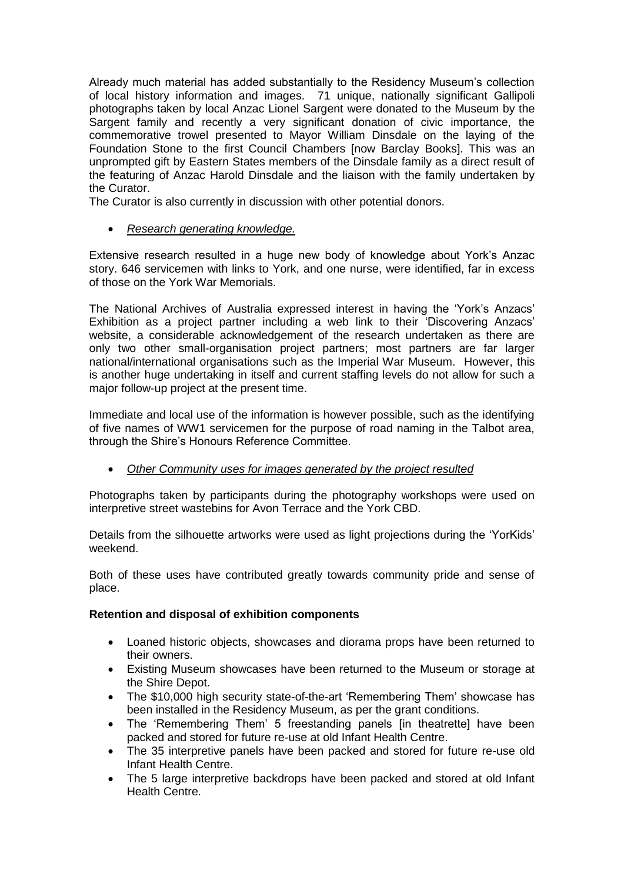Already much material has added substantially to the Residency Museum's collection of local history information and images. 71 unique, nationally significant Gallipoli photographs taken by local Anzac Lionel Sargent were donated to the Museum by the Sargent family and recently a very significant donation of civic importance, the commemorative trowel presented to Mayor William Dinsdale on the laying of the Foundation Stone to the first Council Chambers [now Barclay Books]. This was an unprompted gift by Eastern States members of the Dinsdale family as a direct result of the featuring of Anzac Harold Dinsdale and the liaison with the family undertaken by the Curator.

The Curator is also currently in discussion with other potential donors.

• *Research generating knowledge.*

Extensive research resulted in a huge new body of knowledge about York's Anzac story. 646 servicemen with links to York, and one nurse, were identified, far in excess of those on the York War Memorials.

The National Archives of Australia expressed interest in having the 'York's Anzacs' Exhibition as a project partner including a web link to their 'Discovering Anzacs' website, a considerable acknowledgement of the research undertaken as there are only two other small-organisation project partners; most partners are far larger national/international organisations such as the Imperial War Museum. However, this is another huge undertaking in itself and current staffing levels do not allow for such a major follow-up project at the present time.

Immediate and local use of the information is however possible, such as the identifying of five names of WW1 servicemen for the purpose of road naming in the Talbot area, through the Shire's Honours Reference Committee.

• *Other Community uses for images generated by the project resulted*

Photographs taken by participants during the photography workshops were used on interpretive street wastebins for Avon Terrace and the York CBD.

Details from the silhouette artworks were used as light projections during the 'YorKids' weekend.

Both of these uses have contributed greatly towards community pride and sense of place.

## **Retention and disposal of exhibition components**

- Loaned historic objects, showcases and diorama props have been returned to their owners.
- Existing Museum showcases have been returned to the Museum or storage at the Shire Depot.
- The \$10,000 high security state-of-the-art 'Remembering Them' showcase has been installed in the Residency Museum, as per the grant conditions.
- The 'Remembering Them' 5 freestanding panels [in theatrette] have been packed and stored for future re-use at old Infant Health Centre.
- The 35 interpretive panels have been packed and stored for future re-use old Infant Health Centre.
- The 5 large interpretive backdrops have been packed and stored at old Infant Health Centre.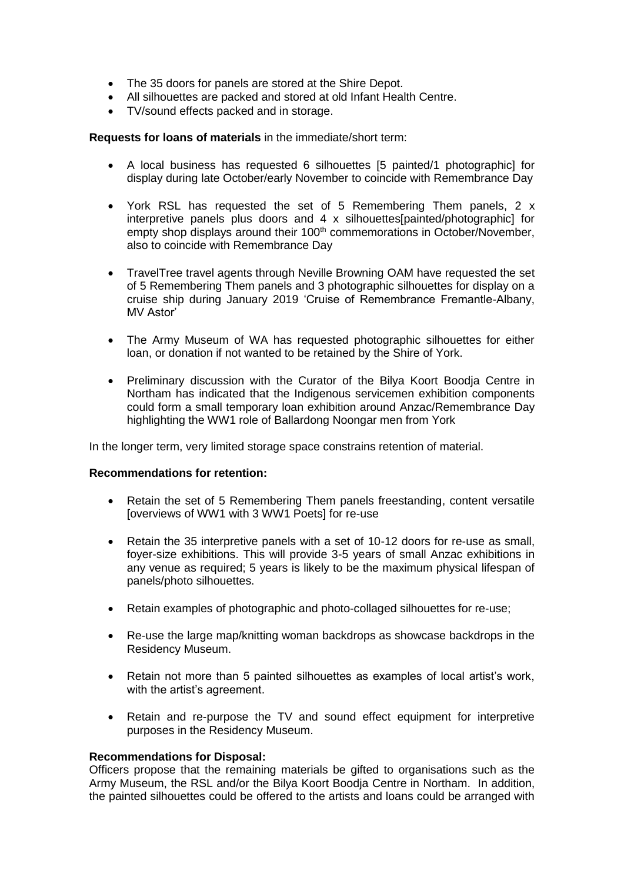- The 35 doors for panels are stored at the Shire Depot.
- All silhouettes are packed and stored at old Infant Health Centre.
- TV/sound effects packed and in storage.

**Requests for loans of materials** in the immediate/short term:

- A local business has requested 6 silhouettes [5 painted/1 photographic] for display during late October/early November to coincide with Remembrance Day
- York RSL has requested the set of 5 Remembering Them panels, 2 x interpretive panels plus doors and 4 x silhouettes[painted/photographic] for empty shop displays around their 100<sup>th</sup> commemorations in October/November, also to coincide with Remembrance Day
- TravelTree travel agents through Neville Browning OAM have requested the set of 5 Remembering Them panels and 3 photographic silhouettes for display on a cruise ship during January 2019 'Cruise of Remembrance Fremantle-Albany, MV Astor'
- The Army Museum of WA has requested photographic silhouettes for either loan, or donation if not wanted to be retained by the Shire of York.
- Preliminary discussion with the Curator of the Bilya Koort Boodja Centre in Northam has indicated that the Indigenous servicemen exhibition components could form a small temporary loan exhibition around Anzac/Remembrance Day highlighting the WW1 role of Ballardong Noongar men from York

In the longer term, very limited storage space constrains retention of material.

#### **Recommendations for retention:**

- Retain the set of 5 Remembering Them panels freestanding, content versatile [overviews of WW1 with 3 WW1 Poets] for re-use
- Retain the 35 interpretive panels with a set of 10-12 doors for re-use as small, foyer-size exhibitions. This will provide 3-5 years of small Anzac exhibitions in any venue as required; 5 years is likely to be the maximum physical lifespan of panels/photo silhouettes.
- Retain examples of photographic and photo-collaged silhouettes for re-use;
- Re-use the large map/knitting woman backdrops as showcase backdrops in the Residency Museum.
- Retain not more than 5 painted silhouettes as examples of local artist's work, with the artist's agreement.
- Retain and re-purpose the TV and sound effect equipment for interpretive purposes in the Residency Museum.

#### **Recommendations for Disposal:**

Officers propose that the remaining materials be gifted to organisations such as the Army Museum, the RSL and/or the Bilya Koort Boodja Centre in Northam. In addition, the painted silhouettes could be offered to the artists and loans could be arranged with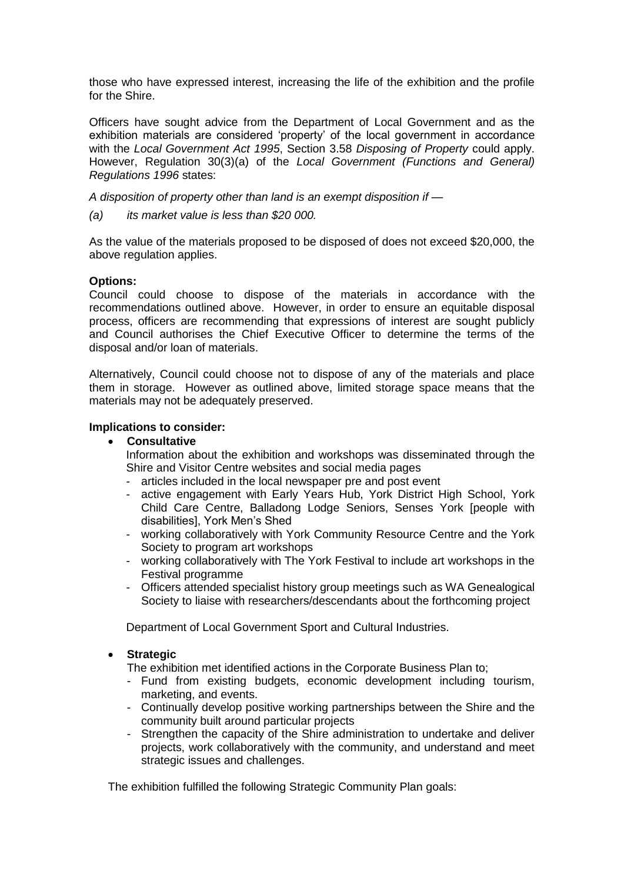those who have expressed interest, increasing the life of the exhibition and the profile for the Shire.

Officers have sought advice from the Department of Local Government and as the exhibition materials are considered 'property' of the local government in accordance with the *Local Government Act 1995*, Section 3.58 *Disposing of Property* could apply. However, Regulation 30(3)(a) of the *Local Government (Functions and General) Regulations 1996* states:

*A disposition of property other than land is an exempt disposition if —*

*(a) its market value is less than \$20 000.*

As the value of the materials proposed to be disposed of does not exceed \$20,000, the above regulation applies.

## **Options:**

Council could choose to dispose of the materials in accordance with the recommendations outlined above. However, in order to ensure an equitable disposal process, officers are recommending that expressions of interest are sought publicly and Council authorises the Chief Executive Officer to determine the terms of the disposal and/or loan of materials.

Alternatively, Council could choose not to dispose of any of the materials and place them in storage. However as outlined above, limited storage space means that the materials may not be adequately preserved.

## **Implications to consider:**

### • **Consultative**

Information about the exhibition and workshops was disseminated through the Shire and Visitor Centre websites and social media pages

- articles included in the local newspaper pre and post event
- active engagement with Early Years Hub, York District High School, York Child Care Centre, Balladong Lodge Seniors, Senses York [people with disabilities], York Men's Shed
- working collaboratively with York Community Resource Centre and the York Society to program art workshops
- working collaboratively with The York Festival to include art workshops in the Festival programme
- Officers attended specialist history group meetings such as WA Genealogical Society to liaise with researchers/descendants about the forthcoming project

Department of Local Government Sport and Cultural Industries.

• **Strategic**

The exhibition met identified actions in the Corporate Business Plan to;

- Fund from existing budgets, economic development including tourism, marketing, and events.
- Continually develop positive working partnerships between the Shire and the community built around particular projects
- Strengthen the capacity of the Shire administration to undertake and deliver projects, work collaboratively with the community, and understand and meet strategic issues and challenges.

The exhibition fulfilled the following Strategic Community Plan goals: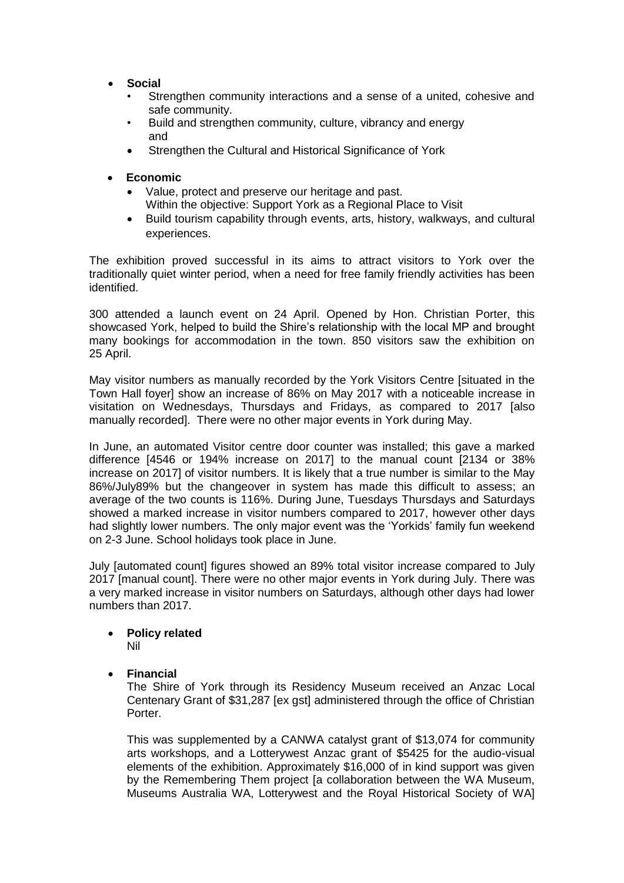- **Social**
	- Strengthen community interactions and a sense of a united, cohesive and safe community.
	- Build and strengthen community, culture, vibrancy and energy and
	- Strengthen the Cultural and Historical Significance of York
- **Economic**
	- Value, protect and preserve our heritage and past. Within the objective: Support York as a Regional Place to Visit
	- Build tourism capability through events, arts, history, walkways, and cultural experiences.

The exhibition proved successful in its aims to attract visitors to York over the traditionally quiet winter period, when a need for free family friendly activities has been identified.

300 attended a launch event on 24 April. Opened by Hon. Christian Porter, this showcased York, helped to build the Shire's relationship with the local MP and brought many bookings for accommodation in the town. 850 visitors saw the exhibition on 25 April.

May visitor numbers as manually recorded by the York Visitors Centre [situated in the Town Hall foyer] show an increase of 86% on May 2017 with a noticeable increase in visitation on Wednesdays, Thursdays and Fridays, as compared to 2017 [also manually recorded]. There were no other major events in York during May.

In June, an automated Visitor centre door counter was installed; this gave a marked difference [4546 or 194% increase on 2017] to the manual count [2134 or 38% increase on 2017] of visitor numbers. It is likely that a true number is similar to the May 86%/July89% but the changeover in system has made this difficult to assess; an average of the two counts is 116%. During June, Tuesdays Thursdays and Saturdays showed a marked increase in visitor numbers compared to 2017, however other days had slightly lower numbers. The only major event was the 'Yorkids' family fun weekend on 2-3 June. School holidays took place in June.

July [automated count] figures showed an 89% total visitor increase compared to July 2017 [manual count]. There were no other major events in York during July. There was a very marked increase in visitor numbers on Saturdays, although other days had lower numbers than 2017.

# • **Policy related**

Nil

• **Financial**

The Shire of York through its Residency Museum received an Anzac Local Centenary Grant of \$31,287 [ex gst] administered through the office of Christian Porter.

This was supplemented by a CANWA catalyst grant of \$13,074 for community arts workshops, and a Lotterywest Anzac grant of \$5425 for the audio-visual elements of the exhibition. Approximately \$16,000 of in kind support was given by the Remembering Them project [a collaboration between the WA Museum, Museums Australia WA, Lotterywest and the Royal Historical Society of WA]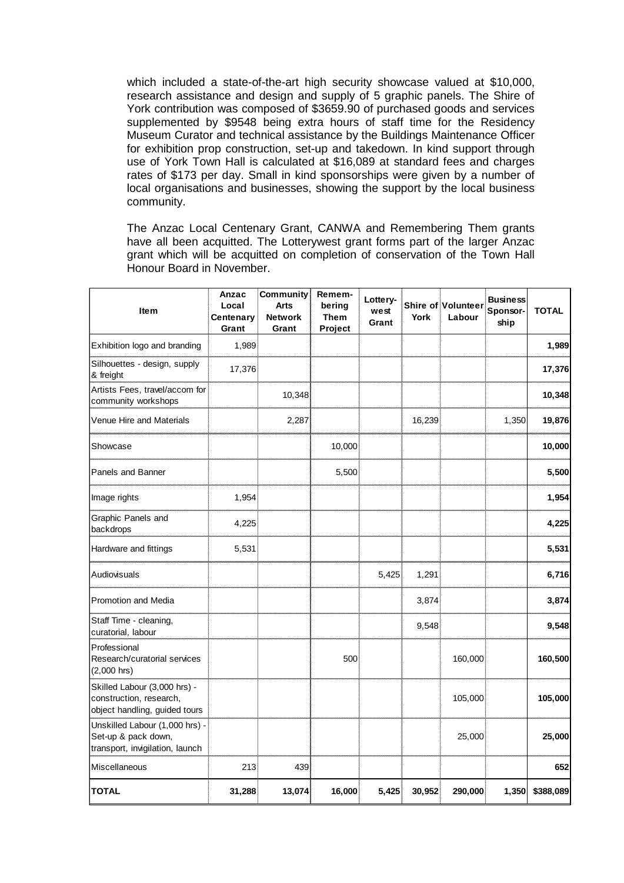which included a state-of-the-art high security showcase valued at \$10,000, research assistance and design and supply of 5 graphic panels. The Shire of York contribution was composed of \$3659.90 of purchased goods and services supplemented by \$9548 being extra hours of staff time for the Residency Museum Curator and technical assistance by the Buildings Maintenance Officer for exhibition prop construction, set-up and takedown. In kind support through use of York Town Hall is calculated at \$16,089 at standard fees and charges rates of \$173 per day. Small in kind sponsorships were given by a number of local organisations and businesses, showing the support by the local business community.

The Anzac Local Centenary Grant, CANWA and Remembering Them grants have all been acquitted. The Lotterywest grant forms part of the larger Anzac grant which will be acquitted on completion of conservation of the Town Hall Honour Board in November.

| <b>Item</b>                                                                              | Anzac<br>Local<br>Centenary<br>Grant | Community<br><b>Arts</b><br><b>Network</b><br>Grant | Remem-<br>bering<br><b>Them</b><br>Project | Lottery-<br>west<br>Grant | York   | Shire of Volunteer<br>Labour | <b>Business</b><br>Sponsor-<br>ship | <b>TOTAL</b> |
|------------------------------------------------------------------------------------------|--------------------------------------|-----------------------------------------------------|--------------------------------------------|---------------------------|--------|------------------------------|-------------------------------------|--------------|
| Exhibition logo and branding                                                             | 1,989                                |                                                     |                                            |                           |        |                              |                                     | 1,989        |
| Silhouettes - design, supply<br>& freight                                                | 17,376                               |                                                     |                                            |                           |        |                              |                                     | 17,376       |
| Artists Fees, travel/accom for<br>community workshops                                    |                                      | 10,348                                              |                                            |                           |        |                              |                                     | 10,348       |
| Venue Hire and Materials                                                                 |                                      | 2,287                                               |                                            |                           | 16,239 |                              | 1,350                               | 19,876       |
| Showcase                                                                                 |                                      |                                                     | 10,000                                     |                           |        |                              |                                     | 10,000       |
| Panels and Banner                                                                        |                                      |                                                     | 5,500                                      |                           |        |                              |                                     | 5,500        |
| Image rights                                                                             | 1,954                                |                                                     |                                            |                           |        |                              |                                     | 1,954        |
| Graphic Panels and<br>backdrops                                                          | 4,225                                |                                                     |                                            |                           |        |                              |                                     | 4,225        |
| Hardware and fittings                                                                    | 5,531                                |                                                     |                                            |                           |        |                              |                                     | 5,531        |
| Audiovisuals                                                                             |                                      |                                                     |                                            | 5,425                     | 1,291  |                              |                                     | 6,716        |
| <b>Promotion and Media</b>                                                               |                                      |                                                     |                                            |                           | 3,874  |                              |                                     | 3,874        |
| Staff Time - cleaning,<br>curatorial, labour                                             |                                      |                                                     |                                            |                           | 9,548  |                              |                                     | 9,548        |
| Professional<br>Research/curatorial services<br>$(2,000$ hrs)                            |                                      |                                                     | 500                                        |                           |        | 160,000                      |                                     | 160,500      |
| Skilled Labour (3,000 hrs) -<br>construction, research,<br>object handling, guided tours |                                      |                                                     |                                            |                           |        | 105,000                      |                                     | 105,000      |
| Unskilled Labour (1,000 hrs) -<br>Set-up & pack down,<br>transport, invigilation, launch |                                      |                                                     |                                            |                           |        | 25,000                       |                                     | 25,000       |
| Miscellaneous                                                                            | 213                                  | 439                                                 |                                            |                           |        |                              |                                     | 652          |
| <b>TOTAL</b>                                                                             | 31,288                               | 13,074                                              | 16,000                                     | 5,425                     | 30,952 | 290,000                      | 1,350                               | \$388,089    |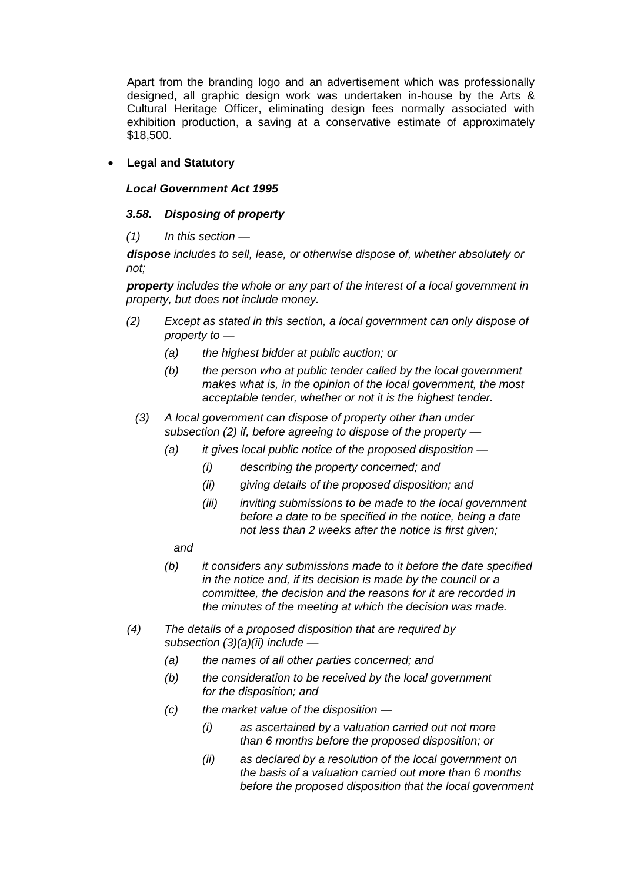Apart from the branding logo and an advertisement which was professionally designed, all graphic design work was undertaken in-house by the Arts & Cultural Heritage Officer, eliminating design fees normally associated with exhibition production, a saving at a conservative estimate of approximately \$18,500.

## • **Legal and Statutory**

## *Local Government Act 1995*

## *3.58. Disposing of property*

## *(1) In this section —*

*dispose includes to sell, lease, or otherwise dispose of, whether absolutely or not;*

*property includes the whole or any part of the interest of a local government in property, but does not include money.*

- *(2) Except as stated in this section, a local government can only dispose of property to —*
	- *(a) the highest bidder at public auction; or*
	- *(b) the person who at public tender called by the local government makes what is, in the opinion of the local government, the most acceptable tender, whether or not it is the highest tender.*
	- *(3) A local government can dispose of property other than under subsection (2) if, before agreeing to dispose of the property —*
		- *(a) it gives local public notice of the proposed disposition —*
			- *(i) describing the property concerned; and*
			- *(ii) giving details of the proposed disposition; and*
			- *(iii) inviting submissions to be made to the local government before a date to be specified in the notice, being a date not less than 2 weeks after the notice is first given;*
			- *and*
		- *(b) it considers any submissions made to it before the date specified in the notice and, if its decision is made by the council or a committee, the decision and the reasons for it are recorded in the minutes of the meeting at which the decision was made.*
- *(4) The details of a proposed disposition that are required by subsection (3)(a)(ii) include —*
	- *(a) the names of all other parties concerned; and*
	- *(b) the consideration to be received by the local government for the disposition; and*
	- *(c) the market value of the disposition —*
		- *(i) as ascertained by a valuation carried out not more than 6 months before the proposed disposition; or*
		- *(ii) as declared by a resolution of the local government on the basis of a valuation carried out more than 6 months before the proposed disposition that the local government*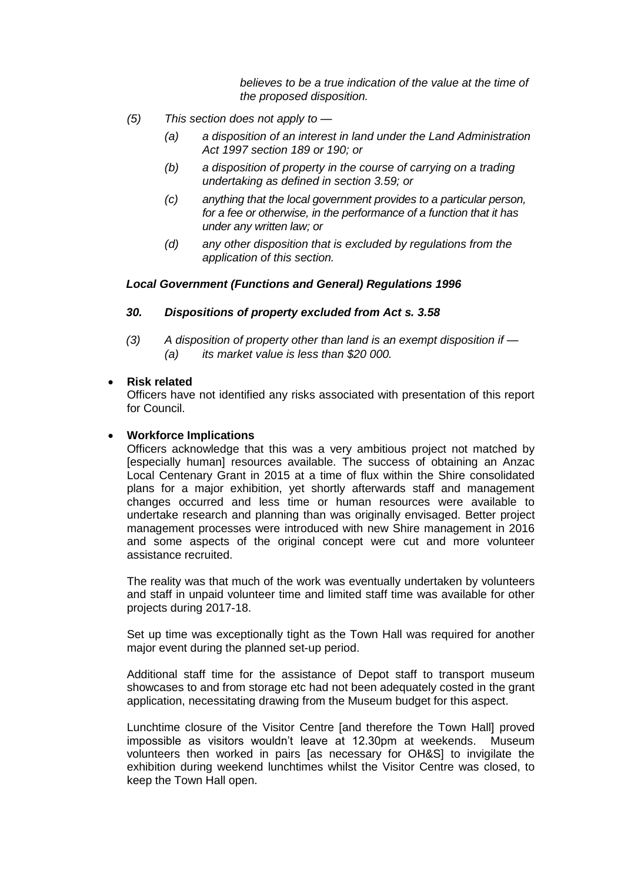*believes to be a true indication of the value at the time of the proposed disposition.*

- *(5) This section does not apply to —*
	- *(a) a disposition of an interest in land under the Land Administration Act 1997 section 189 or 190; or*
	- *(b) a disposition of property in the course of carrying on a trading undertaking as defined in section 3.59; or*
	- *(c) anything that the local government provides to a particular person, for a fee or otherwise, in the performance of a function that it has under any written law; or*
	- *(d) any other disposition that is excluded by regulations from the application of this section.*

#### *Local Government (Functions and General) Regulations 1996*

- *30. Dispositions of property excluded from Act s. 3.58*
- *(3) A disposition of property other than land is an exempt disposition if — (a) its market value is less than \$20 000.*

#### • **Risk related**

Officers have not identified any risks associated with presentation of this report for Council.

#### • **Workforce Implications**

Officers acknowledge that this was a very ambitious project not matched by [especially human] resources available. The success of obtaining an Anzac Local Centenary Grant in 2015 at a time of flux within the Shire consolidated plans for a major exhibition, yet shortly afterwards staff and management changes occurred and less time or human resources were available to undertake research and planning than was originally envisaged. Better project management processes were introduced with new Shire management in 2016 and some aspects of the original concept were cut and more volunteer assistance recruited.

The reality was that much of the work was eventually undertaken by volunteers and staff in unpaid volunteer time and limited staff time was available for other projects during 2017-18.

Set up time was exceptionally tight as the Town Hall was required for another major event during the planned set-up period.

Additional staff time for the assistance of Depot staff to transport museum showcases to and from storage etc had not been adequately costed in the grant application, necessitating drawing from the Museum budget for this aspect.

Lunchtime closure of the Visitor Centre [and therefore the Town Hall] proved impossible as visitors wouldn't leave at 12.30pm at weekends. Museum volunteers then worked in pairs [as necessary for OH&S] to invigilate the exhibition during weekend lunchtimes whilst the Visitor Centre was closed, to keep the Town Hall open.